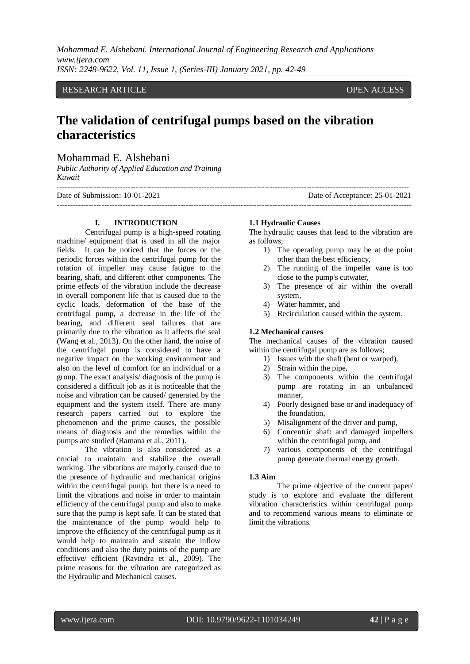#### RESEARCH ARTICLE **CONSERVERS** OPEN ACCESS

# **The validation of centrifugal pumps based on the vibration characteristics**

--------------------------------------------------------------------------------------------------------------------------------------

# Mohammad E. Alshebani

*Public Authority of Applied Education and Training Kuwait*

Date of Submission: 10-01-2021 Date of Acceptance: 25-01-2021

# **I. INTRODUCTION**

Centrifugal pump is a high-speed rotating machine/ equipment that is used in all the major fields. It can be noticed that the forces or the periodic forces within the centrifugal pump for the rotation of impeller may cause fatigue to the bearing, shaft, and different other components. The prime effects of the vibration include the decrease in overall component life that is caused due to the cyclic loads, deformation of the base of the centrifugal pump, a decrease in the life of the bearing, and different seal failures that are primarily due to the vibration as it affects the seal (Wang et al., 2013). On the other hand, the noise of the centrifugal pump is considered to have a negative impact on the working environment and also on the level of comfort for an individual or a group. The exact analysis/ diagnosis of the pump is considered a difficult job as it is noticeable that the noise and vibration can be caused/ generated by the equipment and the system itself. There are many research papers carried out to explore the phenomenon and the prime causes, the possible means of diagnosis and the remedies within the pumps are studied (Ramana et al., 2011).

The vibration is also considered as a crucial to maintain and stabilize the overall working. The vibrations are majorly caused due to the presence of hydraulic and mechanical origins within the centrifugal pump, but there is a need to limit the vibrations and noise in order to maintain efficiency of the centrifugal pump and also to make sure that the pump is kept safe. It can be stated that the maintenance of the pump would help to improve the efficiency of the centrifugal pump as it would help to maintain and sustain the inflow conditions and also the duty points of the pump are effective/ efficient (Ravindra et al., 2009). The prime reasons for the vibration are categorized as the Hydraulic and Mechanical causes.

#### **1.1 Hydraulic Causes**

---------------------------------------------------------------------------------------------------------------------------------------

The hydraulic causes that lead to the vibration are as follows;

- 1) The operating pump may be at the point other than the best efficiency,
- 2) The running of the impeller vane is too close to the pump's cutwater,
- 3) The presence of air within the overall system,
- 4) Water hammer, and
- 5) Recirculation caused within the system.

#### **1.2 Mechanical causes**

The mechanical causes of the vibration caused within the centrifugal pump are as follows;

- 1) Issues with the shaft (bent or warped),
- 2) Strain within the pipe,
- 3) The components within the centrifugal pump are rotating in an unbalanced manner,
- 4) Poorly designed base or and inadequacy of the foundation,
- 5) Misalignment of the driver and pump,
- 6) Concentric shaft and damaged impellers within the centrifugal pump, and
- 7) various components of the centrifugal pump generate thermal energy growth.

#### **1.3 Aim**

The prime objective of the current paper/ study is to explore and evaluate the different vibration characteristics within centrifugal pump and to recommend various means to eliminate or limit the vibrations.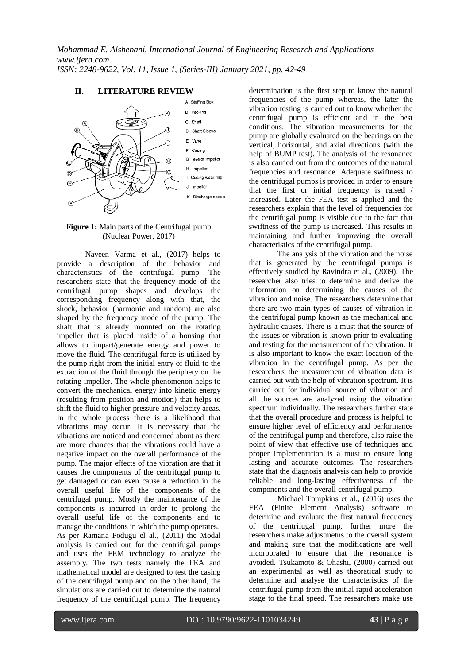# **II. LITERATURE REVIEW**



**Figure 1:** Main parts of the Centrifugal pump (Nuclear Power, 2017)

Naveen Varma et al., (2017) helps to provide a description of the behavior and characteristics of the centrifugal pump. The researchers state that the frequency mode of the centrifugal pump shapes and develops the corresponding frequency along with that, the shock, behavior (harmonic and random) are also shaped by the frequency mode of the pump. The shaft that is already mounted on the rotating impeller that is placed inside of a housing that allows to impart/generate energy and power to move the fluid. The centrifugal force is utilized by the pump right from the initial entry of fluid to the extraction of the fluid through the periphery on the rotating impeller. The whole phenomenon helps to convert the mechanical energy into kinetic energy (resulting from position and motion) that helps to shift the fluid to higher pressure and velocity areas. In the whole process there is a likelihood that vibrations may occur. It is necessary that the vibrations are noticed and concerned about as there are more chances that the vibrations could have a negative impact on the overall performance of the pump. The major effects of the vibration are that it causes the components of the centrifugal pump to get damaged or can even cause a reduction in the overall useful life of the components of the centrifugal pump. Mostly the maintenance of the components is incurred in order to prolong the overall useful life of the components and to manage the conditions in which the pump operates. As per Ramana Podugu el al., (2011) the Modal analysis is carried out for the centrifugal pumps and uses the FEM technology to analyze the assembly. The two tests namely the FEA and mathematical model are designed to test the casing of the centrifugal pump and on the other hand, the simulations are carried out to determine the natural frequency of the centrifugal pump. The frequency

determination is the first step to know the natural frequencies of the pump whereas, the later the vibration testing is carried out to know whether the centrifugal pump is efficient and in the best conditions. The vibration measurements for the pump are globally evaluated on the bearings on the vertical, horizontal, and axial directions (with the help of BUMP test). The analysis of the resonance is also carried out from the outcomes of the natural frequencies and resonance. Adequate swiftness to the centrifugal pumps is provided in order to ensure that the first or initial frequency is raised / increased. Later the FEA test is applied and the researchers explain that the level of frequencies for the centrifugal pump is visible due to the fact that swiftness of the pump is increased. This results in maintaining and further improving the overall characteristics of the centrifugal pump.

The analysis of the vibration and the noise that is generated by the centrifugal pumps is effectively studied by Ravindra et al., (2009). The researcher also tries to determine and derive the information on determining the causes of the vibration and noise. The researchers determine that there are two main types of causes of vibration in the centrifugal pump known as the mechanical and hydraulic causes. There is a must that the source of the issues or vibration is known prior to evaluating and testing for the measurement of the vibration. It is also important to know the exact location of the vibration in the centrifugal pump. As per the researchers the measurement of vibration data is carried out with the help of vibration spectrum. It is carried out for individual source of vibration and all the sources are analyzed using the vibration spectrum individually. The researchers further state that the overall procedure and process is helpful to ensure higher level of efficiency and performance of the centrifugal pump and therefore, also raise the point of view that effective use of techniques and proper implementation is a must to ensure long lasting and accurate outcomes. The researchers state that the diagnosis analysis can help to provide reliable and long-lasting effectiveness of the components and the overall centrifugal pump.

Michael Tompkins et al., (2016) uses the FEA (Finite Element Analysis) software to determine and evaluate the first natural frequency of the centrifugal pump, further more the researchers make adjustmetns to the overall system and making sure that the modifications are well incorporated to ensure that the resonance is avoided. Tsukamoto & Ohashi, (2000) carried out an experimental as well as theoratical study to determine and analyse the characteristics of the centrifugal pump from the initial rapid acceleration stage to the final speed. The researchers make use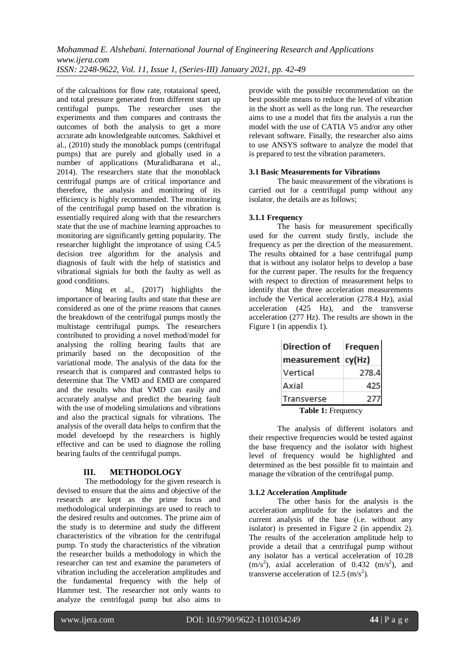of the calcualtions for flow rate, rotataional speed, and total pressure generated from different start up centifugal pumps. The researcher uses the experiments and then compares and contrasts the outcomes of both the analysis to get a more accurate adn knowledgeable outcomes. Sakthivel et al., (2010) study the monoblack pumps (centrifugal pumps) that are purely and globally used in a number of applications (Muralidharana et al., 2014). The researchers state that the monoblack centrifugal pumps are of critical importance and therefore, the analysis and monitoring of its efficiency is highly recommended. The monitoring of the centrifugal pump based on the vibration is essentially required along with that the researchers state that the use of machine learning approaches to monitoring are significantly getting popularity. The researcher highlight the improtance of using C4.5 decision tree algorithm for the analysis and diagnosis of fault with the help of statistics and vibrational signials for both the faulty as well as good conditions.

Ming et al., (2017) highlights the importance of bearing faults and state that these are considered as one of the prime reasons that causes the breakdown of the centrifugal pumps mostly the multistage centrifugal pumps. The researchers contributed to providing a novel method/model for analysing the rolling bearing faults that are primarily based on the decoposition of the variational mode. The analysis of the data for the research that is compared and contrasted helps to determine that The VMD and EMD are compared and the results who that VMD can easily and accurately analyse and predict the bearing fault with the use of modeling simulations and vibrations and also the practical signals for vibrations. The analysis of the overall data helps to confirm that the model develoepd by the researchers is highly effective and can be used to diagnose the rolling bearing faults of the centrifugal pumps.

# **III. METHODOLOGY**

The methodology for the given research is devised to ensure that the aims and objective of the research are kept as the prime focus and methodological underpinnings are used to reach to the desired results and outcomes. The prime aim of the study is to determine and study the different characteristics of the vibration for the centrifugal pump. To study the characteristics of the vibration the researcher builds a methodology in which the researcher can test and examine the parameters of vibration including the acceleration amplitudes and the fundamental frequency with the help of Hammer test. The researcher not only wants to analyze the centrifugal pump but also aims to provide with the possible recommendation on the best possible means to reduce the level of vibration in the short as well as the long run. The researcher aims to use a model that fits the analysis a run the model with the use of CATIA V5 and/or any other relevant software. Finally, the researcher also aims to use ANSYS software to analyze the model that is prepared to test the vibration parameters.

#### **3.1 Basic Measurements for Vibrations**

The basic measurement of the vibrations is carried out for a centrifugal pump without any isolator, the details are as follows;

#### **3.1.1 Frequency**

The basis for measurement specifically used for the current study firstly, include the frequency as per the direction of the measurement. The results obtained for a base centrifugal pump that is without any isolator helps to develop a base for the current paper. The results for the frequency with respect to direction of measurement helps to identify that the three acceleration measurements include the Vertical acceleration (278.4 Hz), axial acceleration (425 Hz), and the transverse acceleration (277 Hz). The results are shown in the Figure 1 (in appendix 1).

| <b>Direction of</b>  | <b>Frequen</b> |
|----------------------|----------------|
| measurement $cy(Hz)$ |                |
| Vertical             | 278.4          |
| Axial                | 425            |
| <b>Transverse</b>    | 277            |
|                      |                |

**Table 1:** Frequency

The analysis of different isolators and their respective frequencies would be tested against the base frequency and the isolator with highest level of frequency would be highlighted and determined as the best possible fit to maintain and manage the vibration of the centrifugal pump.

#### **3.1.2 Acceleration Amplitude**

The other basis for the analysis is the acceleration amplitude for the isolators and the current analysis of the base (i.e. without any isolator) is presented in Figure 2 (in appendix 2). The results of the acceleration amplitude help to provide a detail that a centrifugal pump without any isolator has a vertical acceleration of 10.28  $(m/s<sup>2</sup>)$ , axial acceleration of 0.432  $(m/s<sup>2</sup>)$ , and transverse acceleration of 12.5  $(m/s<sup>2</sup>)$ .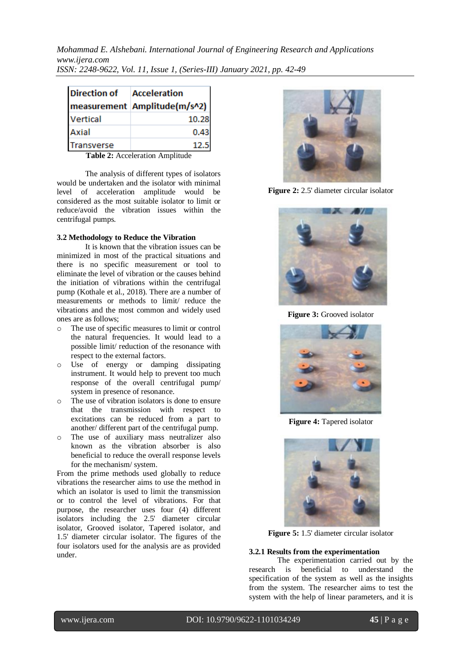| <b>Direction of</b> | Acceleration<br>measurement Amplitude(m/s^2) |
|---------------------|----------------------------------------------|
| Vertical            | 10.28                                        |
| Axial               | 0.43                                         |
| <b>Transverse</b>   | 12.5                                         |

**Table 2:** Acceleration Amplitude

The analysis of different types of isolators would be undertaken and the isolator with minimal level of acceleration amplitude would be considered as the most suitable isolator to limit or reduce/avoid the vibration issues within the centrifugal pumps.

#### **3.2 Methodology to Reduce the Vibration**

It is known that the vibration issues can be minimized in most of the practical situations and there is no specific measurement or tool to eliminate the level of vibration or the causes behind the initiation of vibrations within the centrifugal pump (Kothale et al., 2018). There are a number of measurements or methods to limit/ reduce the vibrations and the most common and widely used ones are as follows;

- o The use of specific measures to limit or control the natural frequencies. It would lead to a possible limit/ reduction of the resonance with respect to the external factors.
- o Use of energy or damping dissipating instrument. It would help to prevent too much response of the overall centrifugal pump/ system in presence of resonance.
- o The use of vibration isolators is done to ensure that the transmission with respect to excitations can be reduced from a part to another/ different part of the centrifugal pump.
- o The use of auxiliary mass neutralizer also known as the vibration absorber is also beneficial to reduce the overall response levels for the mechanism/ system.

From the prime methods used globally to reduce vibrations the researcher aims to use the method in which an isolator is used to limit the transmission or to control the level of vibrations. For that purpose, the researcher uses four (4) different isolators including the 2.5' diameter circular isolator, Grooved isolator, Tapered isolator, and 1.5' diameter circular isolator. The figures of the four isolators used for the analysis are as provided under.



**Figure 2:** 2.5' diameter circular isolator



**Figure 3:** Grooved isolator



**Figure 4:** Tapered isolator



**Figure 5:** 1.5' diameter circular isolator

#### **3.2.1 Results from the experimentation**

The experimentation carried out by the research is beneficial to understand the specification of the system as well as the insights from the system. The researcher aims to test the system with the help of linear parameters, and it is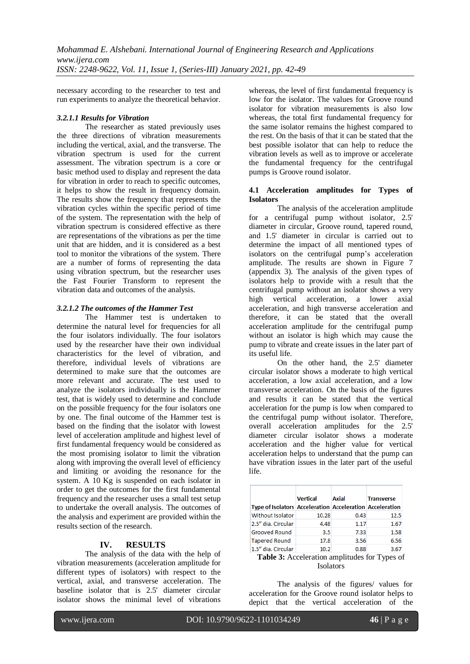necessary according to the researcher to test and run experiments to analyze the theoretical behavior.

### *3.2.1.1 Results for Vibration*

The researcher as stated previously uses the three directions of vibration measurements including the vertical, axial, and the transverse. The vibration spectrum is used for the current assessment. The vibration spectrum is a core or basic method used to display and represent the data for vibration in order to reach to specific outcomes, it helps to show the result in frequency domain. The results show the frequency that represents the vibration cycles within the specific period of time of the system. The representation with the help of vibration spectrum is considered effective as there are representations of the vibrations as per the time unit that are hidden, and it is considered as a best tool to monitor the vibrations of the system. There are a number of forms of representing the data using vibration spectrum, but the researcher uses the Fast Fourier Transform to represent the vibration data and outcomes of the analysis.

## *3.2.1.2 The outcomes of the Hammer Test*

The Hammer test is undertaken to determine the natural level for frequencies for all the four isolators individually. The four isolators used by the researcher have their own individual characteristics for the level of vibration, and therefore, individual levels of vibrations are determined to make sure that the outcomes are more relevant and accurate. The test used to analyze the isolators individually is the Hammer test, that is widely used to determine and conclude on the possible frequency for the four isolators one by one. The final outcome of the Hammer test is based on the finding that the isolator with lowest level of acceleration amplitude and highest level of first fundamental frequency would be considered as the most promising isolator to limit the vibration along with improving the overall level of efficiency and limiting or avoiding the resonance for the system. A 10 Kg is suspended on each isolator in order to get the outcomes for the first fundamental frequency and the researcher uses a small test setup to undertake the overall analysis. The outcomes of the analysis and experiment are provided within the results section of the research.

# **IV. RESULTS**

The analysis of the data with the help of vibration measurements (acceleration amplitude for different types of isolators) with respect to the vertical, axial, and transverse acceleration. The baseline isolator that is 2.5' diameter circular isolator shows the minimal level of vibrations

whereas, the level of first fundamental frequency is low for the isolator. The values for Groove round isolator for vibration measurements is also low whereas, the total first fundamental frequency for the same isolator remains the highest compared to the rest. On the basis of that it can be stated that the best possible isolator that can help to reduce the vibration levels as well as to improve or accelerate the fundamental frequency for the centrifugal pumps is Groove round isolator.

### **4.1 Acceleration amplitudes for Types of Isolators**

The analysis of the acceleration amplitude for a centrifugal pump without isolator, 2.5' diameter in circular, Groove round, tapered round, and 1.5' diameter in circular is carried out to determine the impact of all mentioned types of isolators on the centrifugal pump's acceleration amplitude. The results are shown in Figure 7 (appendix 3). The analysis of the given types of isolators help to provide with a result that the centrifugal pump without an isolator shows a very high vertical acceleration, a lower axial acceleration, and high transverse acceleration and therefore, it can be stated that the overall acceleration amplitude for the centrifugal pump without an isolator is high which may cause the pump to vibrate and create issues in the later part of its useful life.

On the other hand, the 2.5' diameter circular isolator shows a moderate to high vertical acceleration, a low axial acceleration, and a low transverse acceleration. On the basis of the figures and results it can be stated that the vertical acceleration for the pump is low when compared to the centrifugal pump without isolator. Therefore, overall acceleration amplitudes for the 2.5' diameter circular isolator shows a moderate acceleration and the higher value for vertical acceleration helps to understand that the pump can have vibration issues in the later part of the useful life.

|                                                                | <b>Vertical</b> | <b>Axial</b> | <b>Transverse</b> |  |
|----------------------------------------------------------------|-----------------|--------------|-------------------|--|
| Type of Isolators   Acceleration   Acceleration   Acceleration |                 |              |                   |  |
| <b>Without Isolator</b>                                        | 10.28           | 0.43         | 12.5              |  |
| 2.5" dia. Circular                                             | 4.48            | 1.17         | 1.67              |  |
| <b>Grooved Round</b>                                           | 3.5             | 7.33         | 1.58              |  |
| <b>Tapered Round</b>                                           | 17.8            | 3.56         | 6.56              |  |
| 1.5" dia. Circular                                             | 10.2            | 0.88         | 3.67              |  |
| <b>Table 3:</b> Acceleration amplitudes for Types of           |                 |              |                   |  |

#### Isolators

The analysis of the figures/ values for acceleration for the Groove round isolator helps to depict that the vertical acceleration of the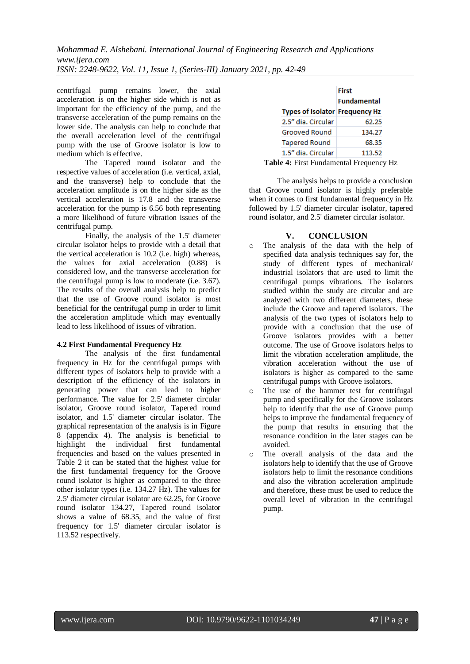centrifugal pump remains lower, the axial acceleration is on the higher side which is not as important for the efficiency of the pump, and the transverse acceleration of the pump remains on the lower side. The analysis can help to conclude that the overall acceleration level of the centrifugal pump with the use of Groove isolator is low to medium which is effective.

The Tapered round isolator and the respective values of acceleration (i.e. vertical, axial, and the transverse) help to conclude that the acceleration amplitude is on the higher side as the vertical acceleration is 17.8 and the transverse acceleration for the pump is 6.56 both representing a more likelihood of future vibration issues of the centrifugal pump.

Finally, the analysis of the 1.5' diameter circular isolator helps to provide with a detail that the vertical acceleration is 10.2 (i.e. high) whereas, the values for axial acceleration (0.88) is considered low, and the transverse acceleration for the centrifugal pump is low to moderate (i.e. 3.67). The results of the overall analysis help to predict that the use of Groove round isolator is most beneficial for the centrifugal pump in order to limit the acceleration amplitude which may eventually lead to less likelihood of issues of vibration.

#### **4.2 First Fundamental Frequency Hz**

The analysis of the first fundamental frequency in Hz for the centrifugal pumps with different types of isolators help to provide with a description of the efficiency of the isolators in generating power that can lead to higher performance. The value for 2.5' diameter circular isolator, Groove round isolator, Tapered round isolator, and 1.5' diameter circular isolator. The graphical representation of the analysis is in Figure 8 (appendix 4). The analysis is beneficial to highlight the individual first fundamental frequencies and based on the values presented in Table 2 it can be stated that the highest value for the first fundamental frequency for the Groove round isolator is higher as compared to the three other isolator types (i.e. 134.27 Hz). The values for 2.5' diameter circular isolator are 62.25, for Groove round isolator 134.27, Tapered round isolator shows a value of 68.35, and the value of first frequency for 1.5' diameter circular isolator is 113.52 respectively.

|                                         | <b>First</b>       |  |  |
|-----------------------------------------|--------------------|--|--|
|                                         | <b>Fundamental</b> |  |  |
| <b>Types of Isolator Frequency Hz</b>   |                    |  |  |
| 2.5" dia. Circular                      | 62.25              |  |  |
| <b>Grooved Round</b>                    | 134.27             |  |  |
| <b>Tapered Round</b>                    | 68.35              |  |  |
| 1.5" dia. Circular                      | 113.52             |  |  |
| Table 4: First Fundamental Frequency Hz |                    |  |  |

The analysis helps to provide a conclusion that Groove round isolator is highly preferable when it comes to first fundamental frequency in Hz followed by 1.5' diameter circular isolator, tapered round isolator, and 2.5' diameter circular isolator.

## **V. CONCLUSION**

- o The analysis of the data with the help of specified data analysis techniques say for, the study of different types of mechanical/ industrial isolators that are used to limit the centrifugal pumps vibrations. The isolators studied within the study are circular and are analyzed with two different diameters, these include the Groove and tapered isolators. The analysis of the two types of isolators help to provide with a conclusion that the use of Groove isolators provides with a better outcome. The use of Groove isolators helps to limit the vibration acceleration amplitude, the vibration acceleration without the use of isolators is higher as compared to the same centrifugal pumps with Groove isolators.
- o The use of the hammer test for centrifugal pump and specifically for the Groove isolators help to identify that the use of Groove pump helps to improve the fundamental frequency of the pump that results in ensuring that the resonance condition in the later stages can be avoided.
- o The overall analysis of the data and the isolators help to identify that the use of Groove isolators help to limit the resonance conditions and also the vibration acceleration amplitude and therefore, these must be used to reduce the overall level of vibration in the centrifugal pump.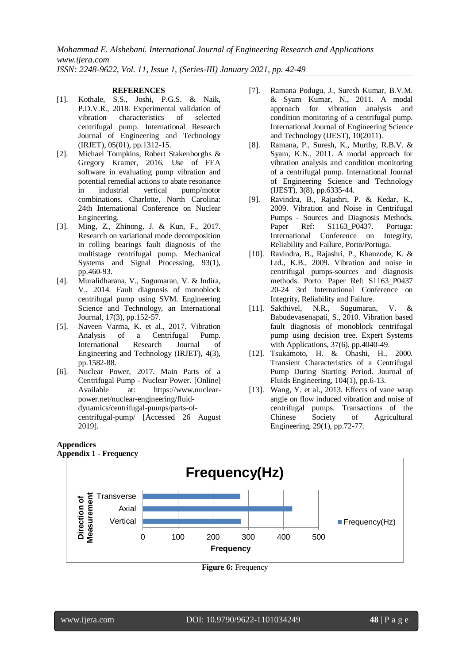#### **REFERENCES**

- [1]. Kothale, S.S., Joshi, P.G.S. & Naik, P.D.V.R., 2018. Experimental validation of vibration characteristics of selected centrifugal pump. International Research Journal of Engineering and Technology (IRJET), 05(01), pp.1312-15.
- [2]. Michael Tompkins, Robert Stakenborghs & Gregory Kramer, 2016. Use of FEA software in evaluating pump vibration and potential remedial actions to abate resonance in industrial vertical pump/motor combinations. Charlotte, North Carolina: 24th International Conference on Nuclear Engineering.
- [3]. Ming, Z., Zhinong, J. & Kun, F., 2017. Research on variational mode decomposition in rolling bearings fault diagnosis of the multistage centrifugal pump. Mechanical Systems and Signal Processing, 93(1), pp.460-93.
- [4]. Muralidharana, V., Sugumaran, V. & Indira, V., 2014. Fault diagnosis of monoblock centrifugal pump using SVM. Engineering Science and Technology, an International Journal, 17(3), pp.152-57.
- [5]. Naveen Varma, K. et al., 2017. Vibration Analysis of a Centrifugal Pump. International Research Journal of Engineering and Technology (IRJET), 4(3), pp.1582-88.
- [6]. Nuclear Power, 2017. Main Parts of a Centrifugal Pump - Nuclear Power. [Online] Available at: https://www.nuclearpower.net/nuclear-engineering/fluiddynamics/centrifugal-pumps/parts-ofcentrifugal-pump/ [Accessed 26 August 2019].
- [7]. Ramana Podugu, J., Suresh Kumar, B.V.M. & Syam Kumar, N., 2011. A modal approach for vibration analysis and condition monitoring of a centrifugal pump. International Journal of Engineering Science and Technology (IJEST), 10(2011).
- [8]. Ramana, P., Suresh, K., Murthy, R.B.V. & Syam, K.N., 2011. A modal approach for vibration analysis and condition monitoring of a centrifugal pump. International Journal of Engineering Science and Technology (IJEST), 3(8), pp.6335-44.
- [9]. Ravindra, B., Rajashri, P. & Kedar, K., 2009. Vibration and Noise in Centrifugal Pumps - Sources and Diagnosis Methods. Paper Ref: S1163\_P0437. Portuga: International Conference on Integrity, Reliability and Failure, Porto/Portuga.
- [10]. Ravindra, B., Rajashri, P., Khanzode, K. & Ltd., K.B., 2009. Vibration and noise in centrifugal pumps-sources and diagnosis methods. Porto: Paper Ref: S1163\_P0437 20-24 3rd International Conference on Integrity, Reliability and Failure.
- [11]. Sakthivel, N.R., Sugumaran, V. & Babudevasenapati, S., 2010. Vibration based fault diagnosis of monoblock centrifugal pump using decision tree. Expert Systems with Applications, 37(6), pp.4040-49.
- [12]. Tsukamoto, H. & Ohashi, H., 2000. Transient Characteristics of a Centrifugal Pump During Starting Period. Journal of Fluids Engineering, 104(1), pp.6-13.
- [13]. Wang, Y. et al., 2013. Effects of vane wrap angle on flow induced vibration and noise of centrifugal pumps. Transactions of the Chinese Society of Agricultural Engineering, 29(1), pp.72-77.



**Figure 6:** Frequency

**Appendices**